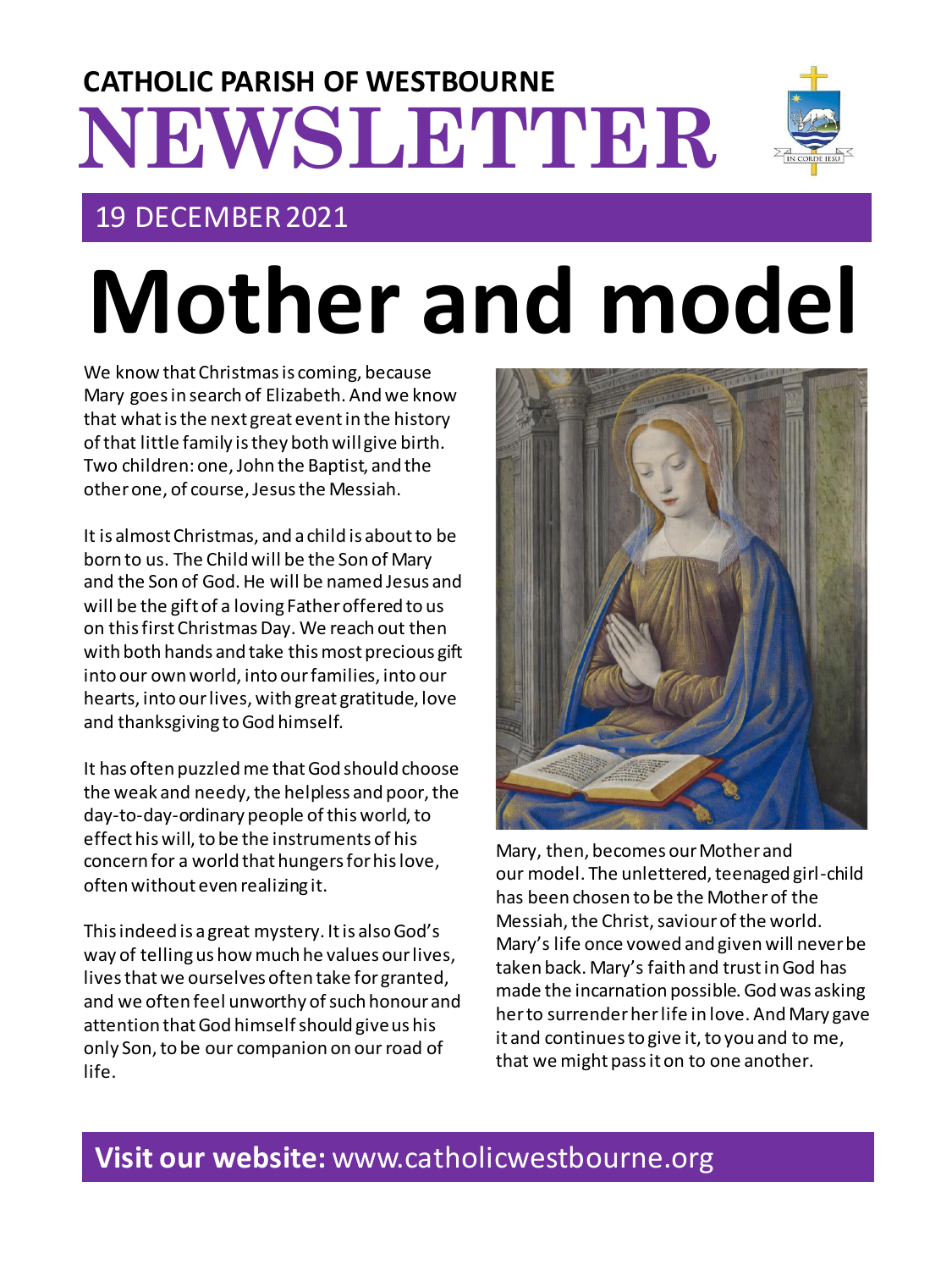# **NEWSLETTER CATHOLIC PARISH OF WESTBOURNE**

# 19 DECEMBER 2021

# **Mother and model**

We know that Christmas is coming, because Mary goes in search of Elizabeth. And we know that what is the next great event in the history of that little family is they both will give birth. Two children: one, John the Baptist, and the other one, of course, Jesus the Messiah.

It is almost Christmas, and a child is about to be born to us. The Child will be the Son of Mary and the Son of God. He will be named Jesus and will be the gift of a loving Father offered to us on this first Christmas Day. We reach out then with both hands and take this most precious gift into our own world, into our families, into our hearts, into our lives, with great gratitude, love and thanksgiving to God himself.

It has often puzzled me that God should choose the weak and needy, the helpless and poor, the day-to-day-ordinary people of this world, to effect his will, to be the instruments of his concern for a world that hungers for his love, often without even realizing it.

This indeed is a great mystery. It is also God's way of telling us how much he values our lives, lives that we ourselves often take for granted, and we often feel unworthy of such honour and attention that God himself should give us his only Son, to be our companion on ourroad of life.

Mary, then, becomes our Mother and our model. The unlettered, teenaged girl-child has been chosen to be the Mother of the Messiah, the Christ, saviour of the world. Mary's life once vowed and given will never be taken back. Mary's faith and trust in God has made the incarnation possible. God was asking her to surrender her life in love. And Mary gave it and continues to give it, to you and to me, that we might pass it on to one another.

# **Visit our website:** www.catholicwestbourne.org



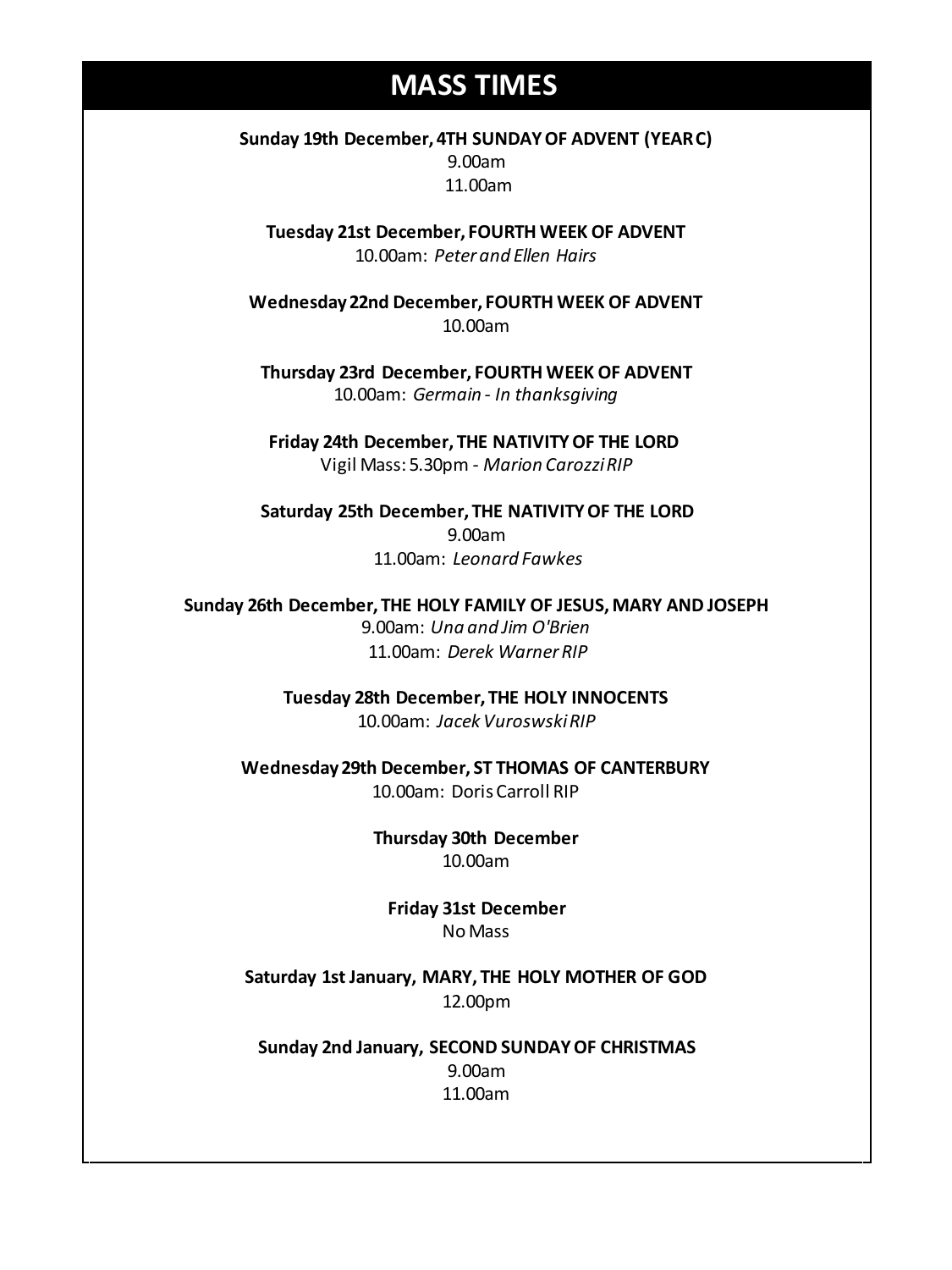## **MASS TIMES**

**Sunday 19th December, 4TH SUNDAY OF ADVENT (YEAR C)** 9.00am 11.00am

**Tuesday 21st December, FOURTH WEEK OF ADVENT** 10.00am: *Peter and Ellen Hairs*

**Wednesday 22nd December, FOURTH WEEK OF ADVENT** 10.00am

**Thursday 23rd December, FOURTH WEEK OF ADVENT** 10.00am: *Germain - In thanksgiving*

**Friday 24th December, THE NATIVITY OF THE LORD** Vigil Mass: 5.30pm - *Marion CarozziRIP*

**Saturday 25th December, THE NATIVITY OF THE LORD** 9.00am 11.00am: *Leonard Fawkes*

**11am** *Tim Mc Cann* **Sunday 26th December, THE HOLY FAMILY OF JESUS, MARY AND JOSEPH Wednesday 14th** *Repose of the souls of Bernard Charles and Elsie May Pratt* 9.00am: *Una and Jim O'Brien* **Saturday 16th** *Rosemarie Schofield RIP* 11.00am: *Derek Warner RIP*

> **Tuesday 28th December, THE HOLY INNOCENTS** 10.00am: *Jacek VuroswskiRIP*

**Wednesday 29th December, ST THOMAS OF CANTERBURY** 10.00am: Doris Carroll RIP

> **Thursday 30th December** 10.00am

**Friday 31st December** No Mass

**Saturday 1st January, MARY, THE HOLY MOTHER OF GOD** 12.00pm

**Sunday 2nd January, SECOND SUNDAY OF CHRISTMAS** 9.00am 11.00am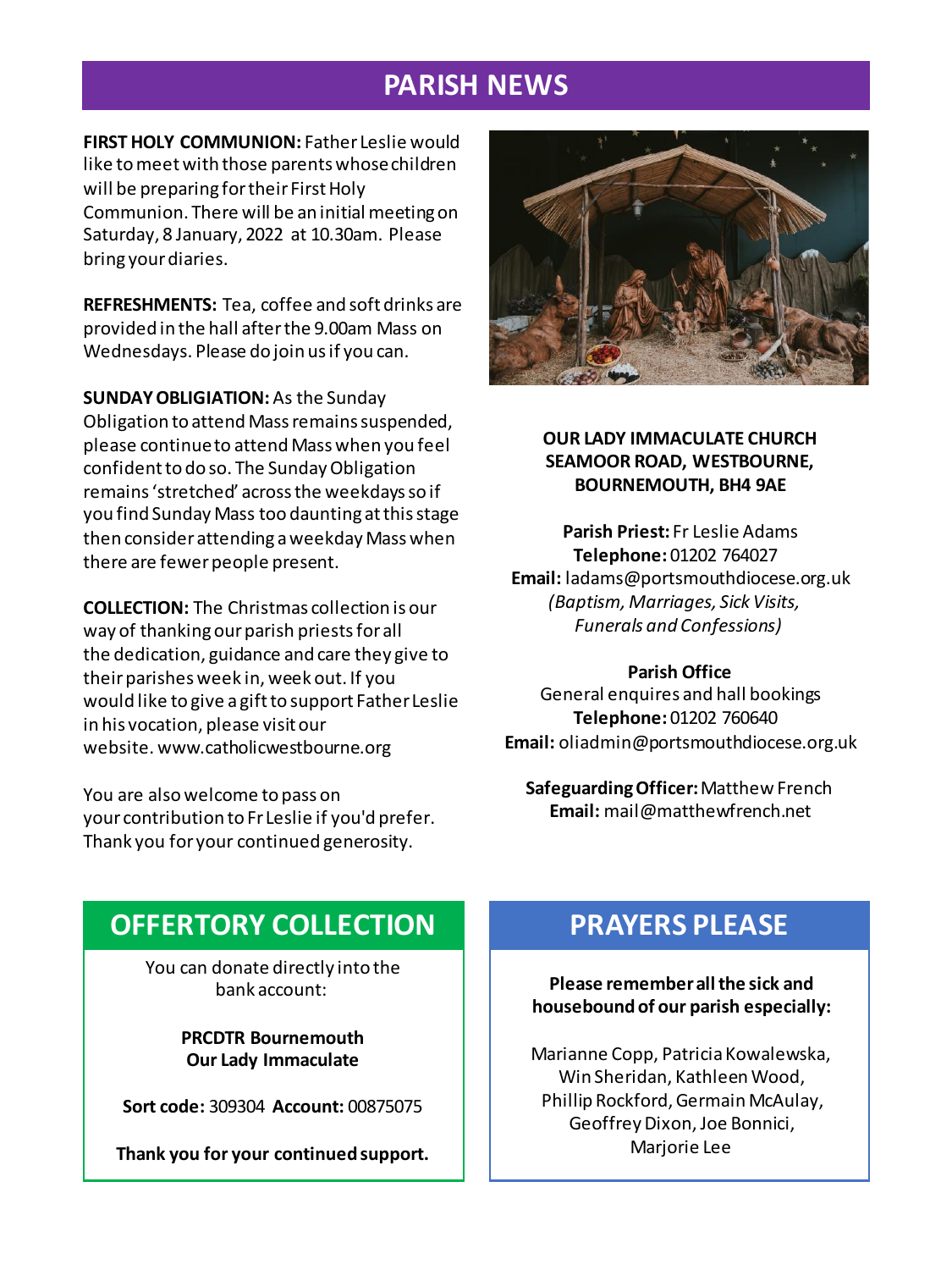## **PARISH NEWS**

**FIRST HOLY COMMUNION:** Father Leslie would like to meet with those parents whose children will be preparing for their First Holy Communion. There will be an initial meeting on Saturday, 8 January, 2022 at 10.30am. Please bring your diaries.

**REFRESHMENTS:** Tea, coffee and soft drinks are provided in the hall after the 9.00am Mass on Wednesdays. Please do join us if you can.

**SUNDAY OBLIGIATION:**As the Sunday Obligation to attend Mass remains suspended, please continue to attend Mass when you feel confident to do so. The Sunday Obligation remains 'stretched' across the weekdays so if you find Sunday Mass too daunting at this stage then consider attending a weekday Mass when there are fewer people present.

**COLLECTION:** The Christmas collection is our way of thanking our parish priests for all the dedication, guidance and care they give to their parishes week in, week out. If you would like to give a gift to support FatherLeslie in his vocation, please visit our website. www.catholicwestbourne.org

You are also welcome to pass on your contribution to Fr Leslie if you'd prefer. Thank you for your continued generosity.



#### **OUR LADY IMMACULATE CHURCH SEAMOOR ROAD, WESTBOURNE, BOURNEMOUTH, BH4 9AE**

**Parish Priest:** Fr Leslie Adams **Telephone:** 01202 764027 **Email:** ladams@portsmouthdiocese.org.uk *(Baptism, Marriages, Sick Visits, Funerals and Confessions)*

#### **Parish Office**

General enquires and hall bookings **Telephone:** 01202 760640 **Email:** oliadmin@portsmouthdiocese.org.uk

**Safeguarding Officer:**Matthew French **Email:** mail@matthewfrench.net

## **OFFERTORY COLLECTION**

You can donate directly into the bank account:

> **PRCDTR Bournemouth Our Lady Immaculate**

**Sort code:** 309304 **Account:** 00875075

**Thank you for your continued support.**

## **PRAYERS PLEASE**

**Please remember all the sick and housebound of our parish especially:**

Marianne Copp, Patricia Kowalewska, Win Sheridan, Kathleen Wood, Phillip Rockford, Germain McAulay, Geoffrey Dixon, Joe Bonnici, Marjorie Lee